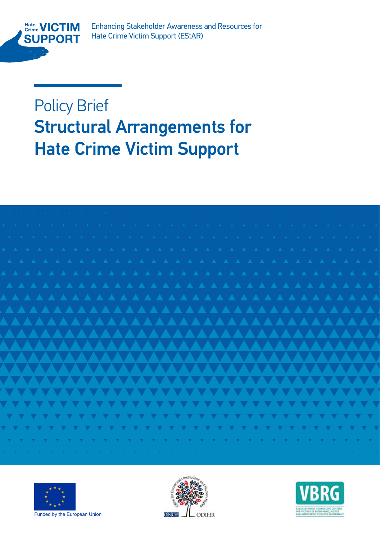

Enhancing Stakeholder Awareness and Resources for Enhancing Stakeholder Awareness and Resources for Hate Crime Victim Support (EStAR)

Policy Brief **Arrangements** For **Structural Arrangements for Hate Crime Victim Support** 







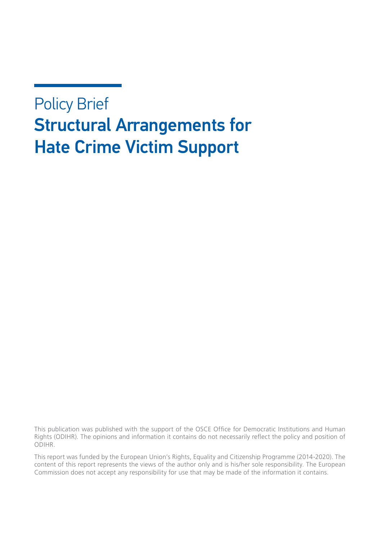# Policy Brief Structural Arrangements for Hate Crime Victim Support

This publication was published with the support of the OSCE Office for Democratic Institutions and Human Rights (ODIHR). The opinions and information it contains do not necessarily reflect the policy and position of ODIHR.

This report was funded by the European Union's Rights, Equality and Citizenship Programme (2014-2020). The content of this report represents the views of the author only and is his/her sole responsibility. The European Commission does not accept any responsibility for use that may be made of the information it contains.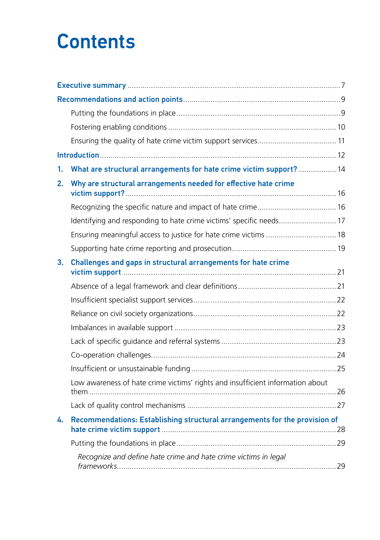# **Contents**

| 1. | What are structural arrangements for hate crime victim support? 14             |  |  |
|----|--------------------------------------------------------------------------------|--|--|
| 2. | Why are structural arrangements needed for effective hate crime                |  |  |
|    |                                                                                |  |  |
|    | Identifying and responding to hate crime victims' specific needs 17            |  |  |
|    | Ensuring meaningful access to justice for hate crime victims  18               |  |  |
|    |                                                                                |  |  |
| 3. | Challenges and gaps in structural arrangements for hate crime                  |  |  |
|    |                                                                                |  |  |
|    |                                                                                |  |  |
|    |                                                                                |  |  |
|    |                                                                                |  |  |
|    |                                                                                |  |  |
|    |                                                                                |  |  |
|    |                                                                                |  |  |
|    | Low awareness of hate crime victims' rights and insufficient information about |  |  |
|    |                                                                                |  |  |
| 4. | Recommendations: Establishing structural arrangements for the provision of     |  |  |
|    |                                                                                |  |  |
|    | Recognize and define hate crime and hate crime victims in legal                |  |  |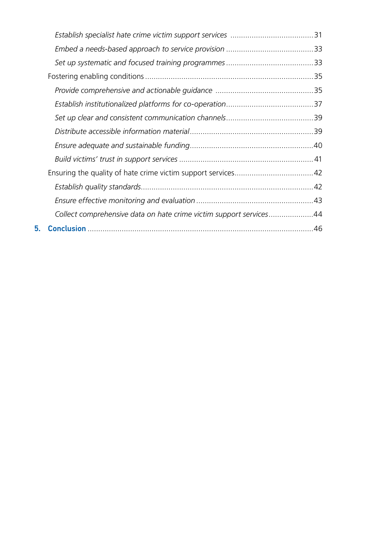|    | Collect comprehensive data on hate crime victim support services44 |  |
|----|--------------------------------------------------------------------|--|
| 5. |                                                                    |  |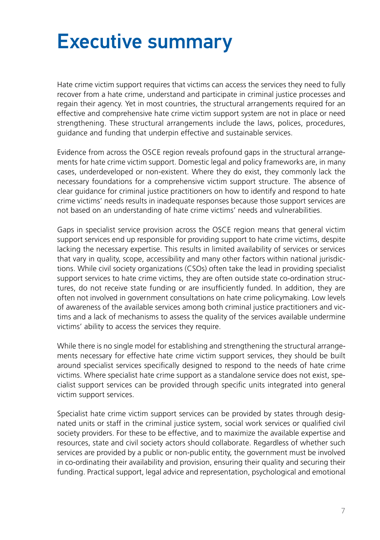# <span id="page-6-0"></span>Executive summary

Hate crime victim support requires that victims can access the services they need to fully recover from a hate crime, understand and participate in criminal justice processes and regain their agency. Yet in most countries, the structural arrangements required for an effective and comprehensive hate crime victim support system are not in place or need strengthening. These structural arrangements include the laws, polices, procedures, guidance and funding that underpin effective and sustainable services.

Evidence from across the OSCE region reveals profound gaps in the structural arrangements for hate crime victim support. Domestic legal and policy frameworks are, in many cases, underdeveloped or non-existent. Where they do exist, they commonly lack the necessary foundations for a comprehensive victim support structure. The absence of clear guidance for criminal justice practitioners on how to identify and respond to hate crime victims' needs results in inadequate responses because those support services are not based on an understanding of hate crime victims' needs and vulnerabilities.

Gaps in specialist service provision across the OSCE region means that general victim support services end up responsible for providing support to hate crime victims, despite lacking the necessary expertise. This results in limited availability of services or services that vary in quality, scope, accessibility and many other factors within national jurisdictions. While civil society organizations (CSOs) often take the lead in providing specialist support services to hate crime victims, they are often outside state co-ordination structures, do not receive state funding or are insufficiently funded. In addition, they are often not involved in government consultations on hate crime policymaking. Low levels of awareness of the available services among both criminal justice practitioners and victims and a lack of mechanisms to assess the quality of the services available undermine victims' ability to access the services they require.

While there is no single model for establishing and strengthening the structural arrangements necessary for effective hate crime victim support services, they should be built around specialist services specifically designed to respond to the needs of hate crime victims. Where specialist hate crime support as a standalone service does not exist, specialist support services can be provided through specific units integrated into general victim support services.

Specialist hate crime victim support services can be provided by states through designated units or staff in the criminal justice system, social work services or qualified civil society providers. For these to be effective, and to maximize the available expertise and resources, state and civil society actors should collaborate. Regardless of whether such services are provided by a public or non-public entity, the government must be involved in co-ordinating their availability and provision, ensuring their quality and securing their funding. Practical support, legal advice and representation, psychological and emotional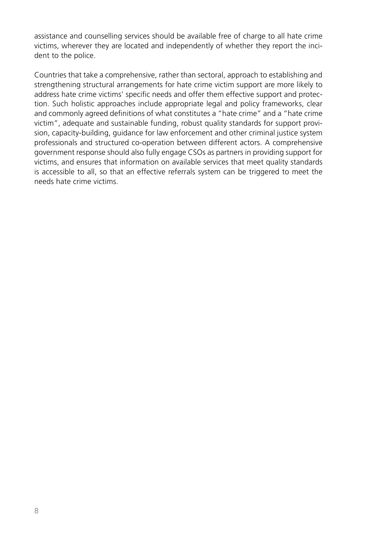assistance and counselling services should be available free of charge to all hate crime victims, wherever they are located and independently of whether they report the incident to the police.

Countries that take a comprehensive, rather than sectoral, approach to establishing and strengthening structural arrangements for hate crime victim support are more likely to address hate crime victims' specific needs and offer them effective support and protection. Such holistic approaches include appropriate legal and policy frameworks, clear and commonly agreed definitions of what constitutes a "hate crime" and a "hate crime victim", adequate and sustainable funding, robust quality standards for support provision, capacity-building, guidance for law enforcement and other criminal justice system professionals and structured co-operation between different actors. A comprehensive government response should also fully engage CSOs as partners in providing support for victims, and ensures that information on available services that meet quality standards is accessible to all, so that an effective referrals system can be triggered to meet the needs hate crime victims.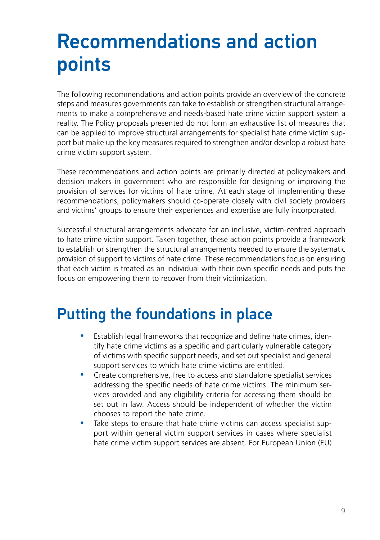# <span id="page-8-0"></span>Recommendations and action points

The following recommendations and action points provide an overview of the concrete steps and measures governments can take to establish or strengthen structural arrangements to make a comprehensive and needs-based hate crime victim support system a reality. The Policy proposals presented do not form an exhaustive list of measures that can be applied to improve structural arrangements for specialist hate crime victim support but make up the key measures required to strengthen and/or develop a robust hate crime victim support system.

These recommendations and action points are primarily directed at policymakers and decision makers in government who are responsible for designing or improving the provision of services for victims of hate crime. At each stage of implementing these recommendations, policymakers should co-operate closely with civil society providers and victims' groups to ensure their experiences and expertise are fully incorporated.

Successful structural arrangements advocate for an inclusive, victim-centred approach to hate crime victim support. Taken together, these action points provide a framework to establish or strengthen the structural arrangements needed to ensure the systematic provision of support to victims of hate crime. These recommendations focus on ensuring that each victim is treated as an individual with their own specific needs and puts the focus on empowering them to recover from their victimization.

### Putting the foundations in place

- Establish legal frameworks that recognize and define hate crimes, identify hate crime victims as a specific and particularly vulnerable category of victims with specific support needs, and set out specialist and general support services to which hate crime victims are entitled.
- Create comprehensive, free to access and standalone specialist services addressing the specific needs of hate crime victims. The minimum services provided and any eligibility criteria for accessing them should be set out in law. Access should be independent of whether the victim chooses to report the hate crime.
- Take steps to ensure that hate crime victims can access specialist support within general victim support services in cases where specialist hate crime victim support services are absent. For European Union (EU)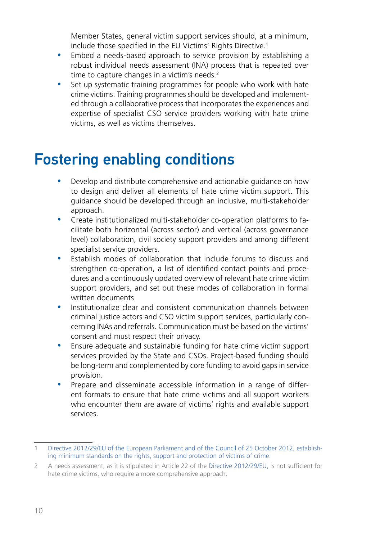Member States, general victim support services should, at a minimum, include those specified in the EU Victims' Rights Directive.<sup>1</sup>

- <span id="page-9-0"></span>• Embed a needs-based approach to service provision by establishing a robust individual needs assessment (INA) process that is repeated over time to capture changes in a victim's needs.<sup>2</sup>
- Set up systematic training programmes for people who work with hate crime victims. Training programmes should be developed and implemented through a collaborative process that incorporates the experiences and expertise of specialist CSO service providers working with hate crime victims, as well as victims themselves.

# Fostering enabling conditions

- Develop and distribute comprehensive and actionable guidance on how to design and deliver all elements of hate crime victim support. This guidance should be developed through an inclusive, multi-stakeholder approach.
- Create institutionalized multi-stakeholder co-operation platforms to facilitate both horizontal (across sector) and vertical (across governance level) collaboration, civil society support providers and among different specialist service providers.
- Establish modes of collaboration that include forums to discuss and strengthen co-operation, a list of identified contact points and procedures and a continuously updated overview of relevant hate crime victim support providers, and set out these modes of collaboration in formal written documents
- Institutionalize clear and consistent communication channels between criminal justice actors and CSO victim support services, particularly concerning INAs and referrals. Communication must be based on the victims' consent and must respect their privacy.
- Ensure adequate and sustainable funding for hate crime victim support services provided by the State and CSOs. Project-based funding should be long-term and complemented by core funding to avoid gaps in service provision.
- Prepare and disseminate accessible information in a range of different formats to ensure that hate crime victims and all support workers who encounter them are aware of victims' rights and available support services.

<sup>1</sup> [Directive 2012/29/EU of the European Parliament and of the Council of 25 October 2012, establish](https://eur-lex.europa.eu/legal-content/EN/TXT/?qid=1421925131614&uri=CELEX:32012L0029)[ing minimum standards on the rights, support and protection of victims of crime](https://eur-lex.europa.eu/legal-content/EN/TXT/?qid=1421925131614&uri=CELEX:32012L0029).

<sup>2</sup> A needs assessment, as it is stipulated in Article 22 of the [Directive 2012/29/EU,](https://eur-lex.europa.eu/legal-content/EN/TXT/?qid=1421925131614&uri=CELEX:32012L0029) is not sufficient for hate crime victims, who require a more comprehensive approach.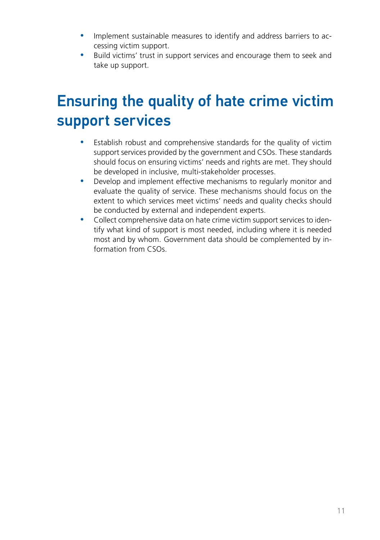- <span id="page-10-0"></span>• Implement sustainable measures to identify and address barriers to accessing victim support.
- Build victims' trust in support services and encourage them to seek and take up support.

## Ensuring the quality of hate crime victim support services

- Establish robust and comprehensive standards for the quality of victim support services provided by the government and CSOs. These standards should focus on ensuring victims' needs and rights are met. They should be developed in inclusive, multi-stakeholder processes.
- Develop and implement effective mechanisms to regularly monitor and evaluate the quality of service. These mechanisms should focus on the extent to which services meet victims' needs and quality checks should be conducted by external and independent experts.
- Collect comprehensive data on hate crime victim support services to identify what kind of support is most needed, including where it is needed most and by whom. Government data should be complemented by information from CSOs.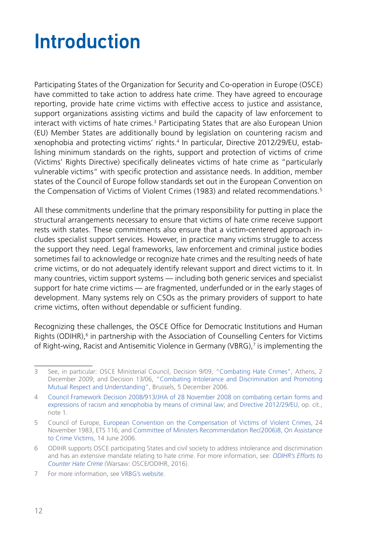# <span id="page-11-0"></span>Introduction

Participating States of the Organization for Security and Co-operation in Europe (OSCE) have committed to take action to address hate crime. They have agreed to encourage reporting, provide hate crime victims with effective access to justice and assistance, support organizations assisting victims and build the capacity of law enforcement to interact with victims of hate crimes.<sup>3</sup> Participating States that are also European Union (EU) Member States are additionally bound by legislation on countering racism and xenophobia and protecting victims' rights.4 In particular, Directive 2012/29/EU, establishing minimum standards on the rights, support and protection of victims of crime (Victims' Rights Directive) specifically delineates victims of hate crime as "particularly vulnerable victims" with specific protection and assistance needs. In addition, member states of the Council of Europe follow standards set out in the European Convention on the Compensation of Victims of Violent Crimes (1983) and related recommendations.<sup>5</sup>

All these commitments underline that the primary responsibility for putting in place the structural arrangements necessary to ensure that victims of hate crime receive support rests with states. These commitments also ensure that a victim-centered approach includes specialist support services. However, in practice many victims struggle to access the support they need. Legal frameworks, law enforcement and criminal justice bodies sometimes fail to acknowledge or recognize hate crimes and the resulting needs of hate crime victims, or do not adequately identify relevant support and direct victims to it. In many countries, victim support systems — including both generic services and specialist support for hate crime victims — are fragmented, underfunded or in the early stages of development. Many systems rely on CSOs as the primary providers of support to hate crime victims, often without dependable or sufficient funding.

Recognizing these challenges, the OSCE Office for Democratic Institutions and Human Rights (ODIHR),<sup>6</sup> in partnership with the Association of Counselling Centers for Victims of Right-wing, Racist and Antisemitic Violence in Germany (VBRG),<sup>7</sup> is implementing the

<sup>3</sup> See, in particular: OSCE Ministerial Council, Decision 9/09, ["Combating Hate Crimes",](http://www.osce.org/cio/40695) Athens, 2 December 2009; and Decision 13/06, ["Combating Intolerance and Discrimination and Promoting](http://www.osce.org/mc/23114)  [Mutual Respect and Understanding](http://www.osce.org/mc/23114)", Brussels, 5 December 2006.

<sup>4</sup> [Council Framework Decision 2008/913/JHA of 28 November 2008 on combating certain forms and](https://eur-lex.europa.eu/legal-content/en/ALL/?uri=CELEX%3A32008F0913)  [expressions of racism and xenophobia by means of criminal law](https://eur-lex.europa.eu/legal-content/en/ALL/?uri=CELEX%3A32008F0913); and [Directive 2012/29/EU](https://eur-lex.europa.eu/legal-content/EN/TXT/?qid=1421925131614&uri=CELEX:32012L0029), op. cit., note 1.

<sup>5</sup> Council of Europe, [European Convention on the Compensation of Victims of Violent Crimes](https://rm.coe.int/1680079751), 24 November 1983, ETS 116; and [Committee of Ministers Recommendation Rec\(2006\)8, On Assistance](https://rm.coe.int/16805afa5c)  [to Crime Victims](https://rm.coe.int/16805afa5c), 14 June 2006.

<sup>6</sup> ODIHR supports OSCE participating States and civil society to address intolerance and discrimination and has an extensive mandate relating to hate crime. For more information, see: *[ODIHR's Efforts to](https://www.osce.org/odihr/68668)  [Counter Hate Crime](https://www.osce.org/odihr/68668)* (Warsaw: OSCE/ODIHR, 2016).

<sup>7</sup> For more information, see [VRBG's website.](http://www.verband-brg.de/english/)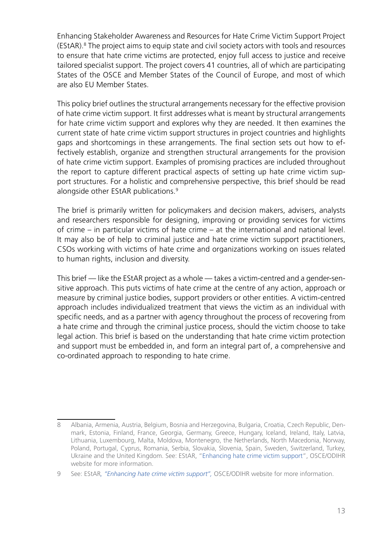Enhancing Stakeholder Awareness and Resources for Hate Crime Victim Support Project (EStAR).8 The project aims to equip state and civil society actors with tools and resources to ensure that hate crime victims are protected, enjoy full access to justice and receive tailored specialist support. The project covers 41 countries, all of which are participating States of the OSCE and Member States of the Council of Europe, and most of which are also EU Member States.

This policy brief outlines the structural arrangements necessary for the effective provision of hate crime victim support. It first addresses what is meant by structural arrangements for hate crime victim support and explores why they are needed. It then examines the current state of hate crime victim support structures in project countries and highlights gaps and shortcomings in these arrangements. The final section sets out how to effectively establish, organize and strengthen structural arrangements for the provision of hate crime victim support. Examples of promising practices are included throughout the report to capture different practical aspects of setting up hate crime victim support structures. For a holistic and comprehensive perspective, this brief should be read alongside other EStAR publications.<sup>9</sup>

The brief is primarily written for policymakers and decision makers, advisers, analysts and researchers responsible for designing, improving or providing services for victims of crime – in particular victims of hate crime – at the international and national level. It may also be of help to criminal justice and hate crime victim support practitioners, CSOs working with victims of hate crime and organizations working on issues related to human rights, inclusion and diversity.

This brief — like the EStAR project as a whole — takes a victim-centred and a gender-sensitive approach. This puts victims of hate crime at the centre of any action, approach or measure by criminal justice bodies, support providers or other entities. A victim-centred approach includes individualized treatment that views the victim as an individual with specific needs, and as a partner with agency throughout the process of recovering from a hate crime and through the criminal justice process, should the victim choose to take legal action. This brief is based on the understanding that hate crime victim protection and support must be embedded in, and form an integral part of, a comprehensive and co-ordinated approach to responding to hate crime.

<sup>8</sup> Albania, Armenia, Austria, Belgium, Bosnia and Herzegovina, Bulgaria, Croatia, Czech Republic, Denmark, Estonia, Finland, France, Georgia, Germany, Greece, Hungary, Iceland, Ireland, Italy, Latvia, Lithuania, Luxembourg, Malta, Moldova, Montenegro, the Netherlands, North Macedonia, Norway, Poland, Portugal, Cyprus, Romania, Serbia, Slovakia, Slovenia, Spain, Sweden, Switzerland, Turkey, Ukraine and the United Kingdom. See: EStAR, "[Enhancing hate crime victim support](https://www.osce.org/odihr/hate-crime-victim-support)", OSCE/ODIHR website for more information.

<sup>9</sup> See: EStAR*, "[Enhancing hate crime victim support](https://www.osce.org/odihr/hate-crime-victim-support)",* OSCE/ODIHR website for more information.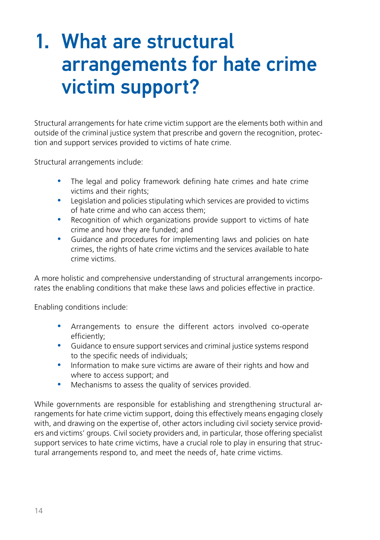# <span id="page-13-0"></span>1. What are structural arrangements for hate crime victim support?

Structural arrangements for hate crime victim support are the elements both within and outside of the criminal justice system that prescribe and govern the recognition, protection and support services provided to victims of hate crime.

Structural arrangements include:

- The legal and policy framework defining hate crimes and hate crime victims and their rights;
- Legislation and policies stipulating which services are provided to victims of hate crime and who can access them;
- Recognition of which organizations provide support to victims of hate crime and how they are funded; and
- Guidance and procedures for implementing laws and policies on hate crimes, the rights of hate crime victims and the services available to hate crime victims.

A more holistic and comprehensive understanding of structural arrangements incorporates the enabling conditions that make these laws and policies effective in practice.

Enabling conditions include:

- Arrangements to ensure the different actors involved co-operate efficiently;
- Guidance to ensure support services and criminal justice systems respond to the specific needs of individuals;
- Information to make sure victims are aware of their rights and how and where to access support; and
- Mechanisms to assess the quality of services provided.

While governments are responsible for establishing and strengthening structural arrangements for hate crime victim support, doing this effectively means engaging closely with, and drawing on the expertise of, other actors including civil society service providers and victims' groups. Civil society providers and, in particular, those offering specialist support services to hate crime victims, have a crucial role to play in ensuring that structural arrangements respond to, and meet the needs of, hate crime victims.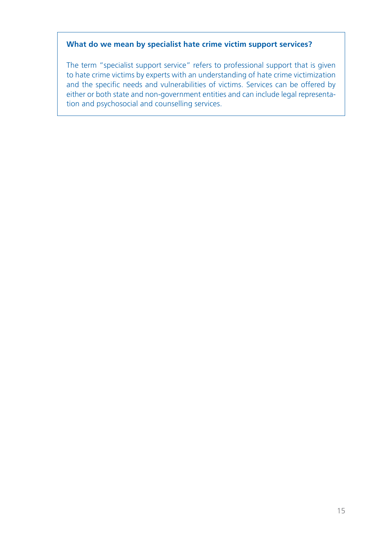#### **What do we mean by specialist hate crime victim support services?**

The term "specialist support service" refers to professional support that is given to hate crime victims by experts with an understanding of hate crime victimization and the specific needs and vulnerabilities of victims. Services can be offered by either or both state and non-government entities and can include legal representation and psychosocial and counselling services.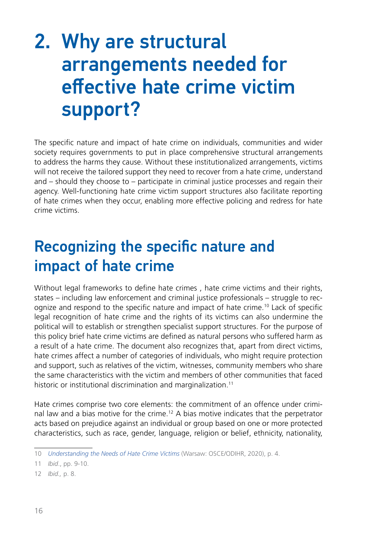# <span id="page-15-0"></span>2. Why are structural arrangements needed for effective hate crime victim support?

The specific nature and impact of hate crime on individuals, communities and wider society requires governments to put in place comprehensive structural arrangements to address the harms they cause. Without these institutionalized arrangements, victims will not receive the tailored support they need to recover from a hate crime, understand and – should they choose to – participate in criminal justice processes and regain their agency. Well-functioning hate crime victim support structures also facilitate reporting of hate crimes when they occur, enabling more effective policing and redress for hate crime victims.

## Recognizing the specific nature and impact of hate crime

Without legal frameworks to define hate crimes , hate crime victims and their rights, states – including law enforcement and criminal justice professionals – struggle to recognize and respond to the specific nature and impact of hate crime.10 Lack of specific legal recognition of hate crime and the rights of its victims can also undermine the political will to establish or strengthen specialist support structures. For the purpose of this policy brief hate crime victims are defined as natural persons who suffered harm as a result of a hate crime. The document also recognizes that, apart from direct victims, hate crimes affect a number of categories of individuals, who might require protection and support, such as relatives of the victim, witnesses, community members who share the same characteristics with the victim and members of other communities that faced historic or institutional discrimination and marginalization.<sup>11</sup>

Hate crimes comprise two core elements: the commitment of an offence under criminal law and a bias motive for the crime.12 A bias motive indicates that the perpetrator acts based on prejudice against an individual or group based on one or more protected characteristics, such as race, gender, language, religion or belief, ethnicity, nationality,

<sup>10</sup> *[Understanding the Needs of Hate Crime Victims](https://www.osce.org/odihr/463011)* (Warsaw: OSCE/ODIHR, 2020), p. 4.

<sup>11</sup> *Ibid*., pp. 9-10.

<sup>12</sup> *Ibid.,* p. 8.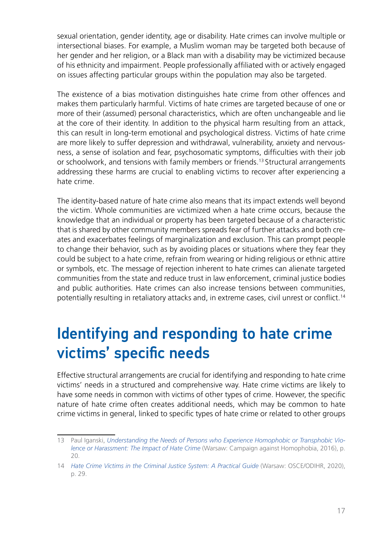<span id="page-16-0"></span>sexual orientation, gender identity, age or disability. Hate crimes can involve multiple or intersectional biases. For example, a Muslim woman may be targeted both because of her gender and her religion, or a Black man with a disability may be victimized because of his ethnicity and impairment. People professionally affiliated with or actively engaged on issues affecting particular groups within the population may also be targeted.

The existence of a bias motivation distinguishes hate crime from other offences and makes them particularly harmful. Victims of hate crimes are targeted because of one or more of their (assumed) personal characteristics, which are often unchangeable and lie at the core of their identity. In addition to the physical harm resulting from an attack, this can result in long-term emotional and psychological distress. Victims of hate crime are more likely to suffer depression and withdrawal, vulnerability, anxiety and nervousness, a sense of isolation and fear, psychosomatic symptoms, difficulties with their job or schoolwork, and tensions with family members or friends.13 Structural arrangements addressing these harms are crucial to enabling victims to recover after experiencing a hate crime.

The identity-based nature of hate crime also means that its impact extends well beyond the victim. Whole communities are victimized when a hate crime occurs, because the knowledge that an individual or property has been targeted because of a characteristic that is shared by other community members spreads fear of further attacks and both creates and exacerbates feelings of marginalization and exclusion. This can prompt people to change their behavior, such as by avoiding places or situations where they fear they could be subject to a hate crime, refrain from wearing or hiding religious or ethnic attire or symbols, etc. The message of rejection inherent to hate crimes can alienate targeted communities from the state and reduce trust in law enforcement, criminal justice bodies and public authorities. Hate crimes can also increase tensions between communities, potentially resulting in retaliatory attacks and, in extreme cases, civil unrest or conflict.<sup>14</sup>

## Identifying and responding to hate crime victims' specific needs

Effective structural arrangements are crucial for identifying and responding to hate crime victims' needs in a structured and comprehensive way. Hate crime victims are likely to have some needs in common with victims of other types of crime. However, the specific nature of hate crime often creates additional needs, which may be common to hate crime victims in general, linked to specific types of hate crime or related to other groups

<sup>13</sup> Paul Iganski, *[Understanding the Needs of Persons who Experience Homophobic or Transphobic Vio](https://eprints.lancs.ac.uk/id/eprint/83775/1/Understanding_the_Needs_of_Persons_Who_Experience_Homophobic_or_Transphobic_Violence_or_Harassment.pdf)[lence or Harassment: The Impact of Hate Crime](https://eprints.lancs.ac.uk/id/eprint/83775/1/Understanding_the_Needs_of_Persons_Who_Experience_Homophobic_or_Transphobic_Violence_or_Harassment.pdf)* (Warsaw: Campaign against Homophobia, 2016), p. 20.

<sup>14</sup> *[Hate Crime Victims in the Criminal Justice System: A Practical Guide](https://www.osce.org/odihr/447028)* (Warsaw: OSCE/ODIHR, 2020), p. 29.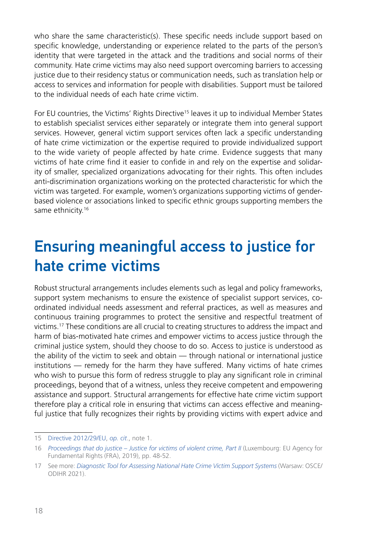<span id="page-17-0"></span>who share the same characteristic(s). These specific needs include support based on specific knowledge, understanding or experience related to the parts of the person's identity that were targeted in the attack and the traditions and social norms of their community. Hate crime victims may also need support overcoming barriers to accessing justice due to their residency status or communication needs, such as translation help or access to services and information for people with disabilities. Support must be tailored to the individual needs of each hate crime victim.

For EU countries, the Victims' Rights Directive<sup>15</sup> leaves it up to individual Member States to establish specialist services either separately or integrate them into general support services. However, general victim support services often lack a specific understanding of hate crime victimization or the expertise required to provide individualized support to the wide variety of people affected by hate crime. Evidence suggests that many victims of hate crime find it easier to confide in and rely on the expertise and solidarity of smaller, specialized organizations advocating for their rights. This often includes anti-discrimination organizations working on the protected characteristic for which the victim was targeted. For example, women's organizations supporting victims of genderbased violence or associations linked to specific ethnic groups supporting members the same ethnicity.<sup>16</sup>

## Ensuring meaningful access to justice for hate crime victims

Robust structural arrangements includes elements such as legal and policy frameworks, support system mechanisms to ensure the existence of specialist support services, coordinated individual needs assessment and referral practices, as well as measures and continuous training programmes to protect the sensitive and respectful treatment of victims.17 These conditions are all crucial to creating structures to address the impact and harm of bias-motivated hate crimes and empower victims to access justice through the criminal justice system, should they choose to do so. Access to justice is understood as the ability of the victim to seek and obtain — through national or international justice institutions — remedy for the harm they have suffered. Many victims of hate crimes who wish to pursue this form of redress struggle to play any significant role in criminal proceedings, beyond that of a witness, unless they receive competent and empowering assistance and support. Structural arrangements for effective hate crime victim support therefore play a critical role in ensuring that victims can access effective and meaningful justice that fully recognizes their rights by providing victims with expert advice and

<sup>15</sup> [Directive 2012/29/EU](https://eur-lex.europa.eu/legal-content/EN/TXT/?qid=1421925131614&uri=CELEX:32012L0029), *op. cit*., note 1.

<sup>16</sup> *[Proceedings that do justice – Justice for victims of violent crime, Part II](https://fra.europa.eu/en/publication/2019/proceedings-do-justice-justice-victims-violent-crime-part-ii)* (Luxembourg: EU Agency for Fundamental Rights (FRA), 2019), pp. 48-52.

<sup>17</sup> See more: *[Diagnostic Tool for Assessing National Hate Crime Victim Support Systems](https://www.osce.org/odihr/506386)* (Warsaw: OSCE/ ODIHR 2021).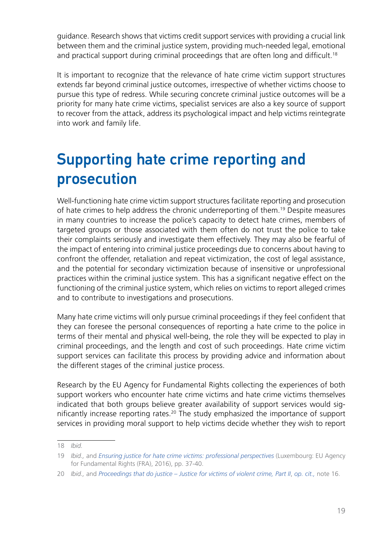<span id="page-18-0"></span>guidance. Research shows that victims credit support services with providing a crucial link between them and the criminal justice system, providing much-needed legal, emotional and practical support during criminal proceedings that are often long and difficult.<sup>18</sup>

It is important to recognize that the relevance of hate crime victim support structures extends far beyond criminal justice outcomes, irrespective of whether victims choose to pursue this type of redress. While securing concrete criminal justice outcomes will be a priority for many hate crime victims, specialist services are also a key source of support to recover from the attack, address its psychological impact and help victims reintegrate into work and family life.

# Supporting hate crime reporting and prosecution

Well-functioning hate crime victim support structures facilitate reporting and prosecution of hate crimes to help address the chronic underreporting of them.19 Despite measures in many countries to increase the police's capacity to detect hate crimes, members of targeted groups or those associated with them often do not trust the police to take their complaints seriously and investigate them effectively. They may also be fearful of the impact of entering into criminal justice proceedings due to concerns about having to confront the offender, retaliation and repeat victimization, the cost of legal assistance, and the potential for secondary victimization because of insensitive or unprofessional practices within the criminal justice system. This has a significant negative effect on the functioning of the criminal justice system, which relies on victims to report alleged crimes and to contribute to investigations and prosecutions.

Many hate crime victims will only pursue criminal proceedings if they feel confident that they can foresee the personal consequences of reporting a hate crime to the police in terms of their mental and physical well-being, the role they will be expected to play in criminal proceedings, and the length and cost of such proceedings. Hate crime victim support services can facilitate this process by providing advice and information about the different stages of the criminal justice process.

Research by the EU Agency for Fundamental Rights collecting the experiences of both support workers who encounter hate crime victims and hate crime victims themselves indicated that both groups believe greater availability of support services would significantly increase reporting rates.20 The study emphasized the importance of support services in providing moral support to help victims decide whether they wish to report

<sup>18</sup> *Ibid.*

<sup>19</sup> *Ibid., and [Ensuring justice for hate crime victims: professional perspectives](https://fra.europa.eu/en/publication/2016/ensuring-justice-hate-crime-victims-professional-perspectives) (Luxembourg: EU Agency* for Fundamental Rights (FRA), 2016), pp. 37-40.

<sup>20</sup> *Ibid.,* and *[Proceedings that do justice – Justice for victims of violent crime, Part II](https://fra.europa.eu/en/publication/2019/proceedings-do-justice-justice-victims-violent-crime-part-ii)*, *op. cit.,* note 16.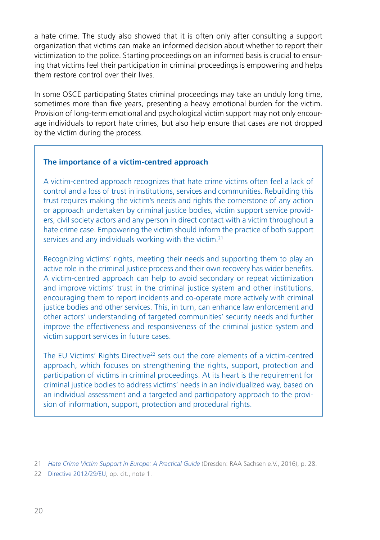a hate crime. The study also showed that it is often only after consulting a support organization that victims can make an informed decision about whether to report their victimization to the police. Starting proceedings on an informed basis is crucial to ensuring that victims feel their participation in criminal proceedings is empowering and helps them restore control over their lives.

In some OSCE participating States criminal proceedings may take an unduly long time, sometimes more than five years, presenting a heavy emotional burden for the victim. Provision of long-term emotional and psychological victim support may not only encourage individuals to report hate crimes, but also help ensure that cases are not dropped by the victim during the process.

#### **The importance of a victim-centred approach**

A victim-centred approach recognizes that hate crime victims often feel a lack of control and a loss of trust in institutions, services and communities. Rebuilding this trust requires making the victim's needs and rights the cornerstone of any action or approach undertaken by criminal justice bodies, victim support service providers, civil society actors and any person in direct contact with a victim throughout a hate crime case. Empowering the victim should inform the practice of both support services and any individuals working with the victim.21

Recognizing victims' rights, meeting their needs and supporting them to play an active role in the criminal justice process and their own recovery has wider benefits. A victim-centred approach can help to avoid secondary or repeat victimization and improve victims' trust in the criminal justice system and other institutions, encouraging them to report incidents and co-operate more actively with criminal justice bodies and other services. This, in turn, can enhance law enforcement and other actors' understanding of targeted communities' security needs and further improve the effectiveness and responsiveness of the criminal justice system and victim support services in future cases.

The EU Victims' Rights Directive<sup>22</sup> sets out the core elements of a victim-centred approach, which focuses on strengthening the rights, support, protection and participation of victims in criminal proceedings. At its heart is the requirement for criminal justice bodies to address victims' needs in an individualized way, based on an individual assessment and a targeted and participatory approach to the provision of information, support, protection and procedural rights.

<sup>21</sup> *[Hate Crime Victim Support in Europe: A Practical Guide](https://verband-brg.de/guidelines-hate-crime-victim-support-in-europe/)* (Dresden: RAA Sachsen e.V., 2016), p. 28.

<sup>22</sup> [Directive 2012/29/EU](https://eur-lex.europa.eu/legal-content/EN/TXT/?qid=1421925131614&uri=CELEX:32012L0029), op. cit., note 1.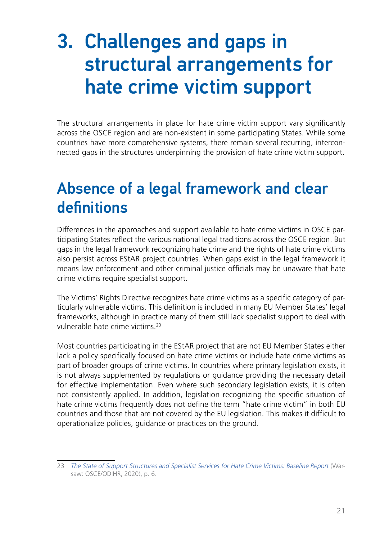# <span id="page-20-0"></span>3. Challenges and gaps in structural arrangements for hate crime victim support

The structural arrangements in place for hate crime victim support vary significantly across the OSCE region and are non-existent in some participating States. While some countries have more comprehensive systems, there remain several recurring, interconnected gaps in the structures underpinning the provision of hate crime victim support.

## Absence of a legal framework and clear definitions

Differences in the approaches and support available to hate crime victims in OSCE participating States reflect the various national legal traditions across the OSCE region. But gaps in the legal framework recognizing hate crime and the rights of hate crime victims also persist across EStAR project countries. When gaps exist in the legal framework it means law enforcement and other criminal justice officials may be unaware that hate crime victims require specialist support.

The Victims' Rights Directive recognizes hate crime victims as a specific category of particularly vulnerable victims. This definition is included in many EU Member States' legal frameworks, although in practice many of them still lack specialist support to deal with vulnerable hate crime victims<sup>23</sup>

Most countries participating in the EStAR project that are not EU Member States either lack a policy specifically focused on hate crime victims or include hate crime victims as part of broader groups of crime victims. In countries where primary legislation exists, it is not always supplemented by regulations or guidance providing the necessary detail for effective implementation. Even where such secondary legislation exists, it is often not consistently applied. In addition, legislation recognizing the specific situation of hate crime victims frequently does not define the term "hate crime victim" in both EU countries and those that are not covered by the EU legislation. This makes it difficult to operationalize policies, guidance or practices on the ground.

<sup>23</sup> *[The State of Support Structures and Specialist Services for Hate Crime Victims: Baseline Report](https://www.osce.org/odihr/467916)* (Warsaw: OSCE/ODIHR, 2020), p. 6.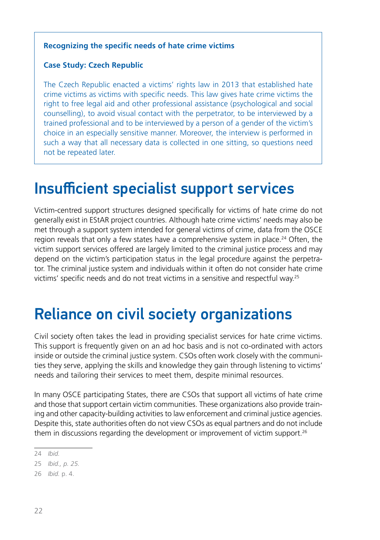#### <span id="page-21-0"></span>**Recognizing the specific needs of hate crime victims**

#### **Case Study: Czech Republic**

The Czech Republic enacted a victims' rights law in 2013 that established hate crime victims as victims with specific needs. This law gives hate crime victims the right to free legal aid and other professional assistance (psychological and social counselling), to avoid visual contact with the perpetrator, to be interviewed by a trained professional and to be interviewed by a person of a gender of the victim's choice in an especially sensitive manner. Moreover, the interview is performed in such a way that all necessary data is collected in one sitting, so questions need not be repeated later.

### Insufficient specialist support services

Victim-centred support structures designed specifically for victims of hate crime do not generally exist in EStAR project countries. Although hate crime victims' needs may also be met through a support system intended for general victims of crime, data from the OSCE region reveals that only a few states have a comprehensive system in place.<sup>24</sup> Often, the victim support services offered are largely limited to the criminal justice process and may depend on the victim's participation status in the legal procedure against the perpetrator. The criminal justice system and individuals within it often do not consider hate crime victims' specific needs and do not treat victims in a sensitive and respectful way.25

## Reliance on civil society organizations

Civil society often takes the lead in providing specialist services for hate crime victims. This support is frequently given on an ad hoc basis and is not co-ordinated with actors inside or outside the criminal justice system. CSOs often work closely with the communities they serve, applying the skills and knowledge they gain through listening to victims' needs and tailoring their services to meet them, despite minimal resources.

In many OSCE participating States, there are CSOs that support all victims of hate crime and those that support certain victim communities. These organizations also provide training and other capacity-building activities to law enforcement and criminal justice agencies. Despite this, state authorities often do not view CSOs as equal partners and do not include them in discussions regarding the development or improvement of victim support.<sup>26</sup>

<sup>24</sup> *Ibid.*

<sup>25</sup> *Ibid., p. 25.*

<sup>26</sup> *Ibid.* p. 4.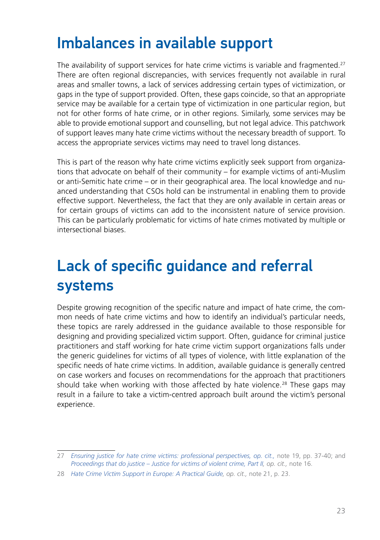## <span id="page-22-0"></span>Imbalances in available support

The availability of support services for hate crime victims is variable and fragmented.27 There are often regional discrepancies, with services frequently not available in rural areas and smaller towns, a lack of services addressing certain types of victimization, or gaps in the type of support provided. Often, these gaps coincide, so that an appropriate service may be available for a certain type of victimization in one particular region, but not for other forms of hate crime, or in other regions. Similarly, some services may be able to provide emotional support and counselling, but not legal advice. This patchwork of support leaves many hate crime victims without the necessary breadth of support. To access the appropriate services victims may need to travel long distances.

This is part of the reason why hate crime victims explicitly seek support from organizations that advocate on behalf of their community – for example victims of anti-Muslim or anti-Semitic hate crime – or in their geographical area. The local knowledge and nuanced understanding that CSOs hold can be instrumental in enabling them to provide effective support. Nevertheless, the fact that they are only available in certain areas or for certain groups of victims can add to the inconsistent nature of service provision. This can be particularly problematic for victims of hate crimes motivated by multiple or intersectional biases.

# Lack of specific guidance and referral systems

Despite growing recognition of the specific nature and impact of hate crime, the common needs of hate crime victims and how to identify an individual's particular needs, these topics are rarely addressed in the guidance available to those responsible for designing and providing specialized victim support. Often, guidance for criminal justice practitioners and staff working for hate crime victim support organizations falls under the generic guidelines for victims of all types of violence, with little explanation of the specific needs of hate crime victims. In addition, available guidance is generally centred on case workers and focuses on recommendations for the approach that practitioners should take when working with those affected by hate violence.<sup>28</sup> These gaps may result in a failure to take a victim-centred approach built around the victim's personal experience.

<sup>27</sup> *[Ensuring justice for hate crime victims: professional perspectives](https://fra.europa.eu/en/publication/2016/ensuring-justice-hate-crime-victims-professional-perspectives), op. cit.,* note 19, pp. 37-40; and *[Proceedings that do justice – Justice for victims of violent crime, Part II](https://fra.europa.eu/en/publication/2019/proceedings-do-justice-justice-victims-violent-crime-part-ii), op. cit.,* note 16.

<sup>28</sup> *[Hate Crime Victim Support in Europe: A Practical Guide](https://verband-brg.de/guidelines-hate-crime-victim-support-in-europe/), op. cit.,* note 21, p. 23.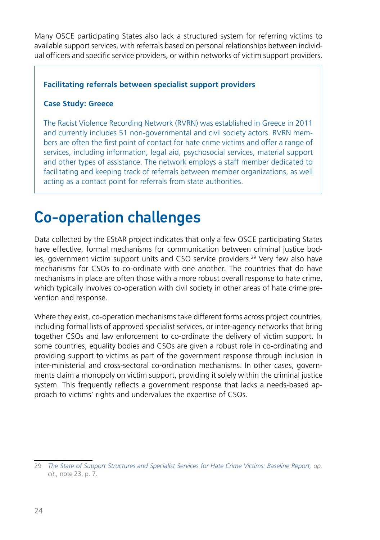<span id="page-23-0"></span>Many OSCE participating States also lack a structured system for referring victims to available support services, with referrals based on personal relationships between individual officers and specific service providers, or within networks of victim support providers.

#### **Facilitating referrals between specialist support providers**

#### **Case Study: Greece**

The Racist Violence Recording Network (RVRN) was established in Greece in 2011 and currently includes 51 non-governmental and civil society actors. RVRN members are often the first point of contact for hate crime victims and offer a range of services, including information, legal aid, psychosocial services, material support and other types of assistance. The network employs a staff member dedicated to facilitating and keeping track of referrals between member organizations, as well acting as a contact point for referrals from state authorities.

### Co-operation challenges

Data collected by the EStAR project indicates that only a few OSCE participating States have effective, formal mechanisms for communication between criminal justice bodies, government victim support units and CSO service providers.29 Very few also have mechanisms for CSOs to co-ordinate with one another. The countries that do have mechanisms in place are often those with a more robust overall response to hate crime, which typically involves co-operation with civil society in other areas of hate crime prevention and response.

Where they exist, co-operation mechanisms take different forms across project countries, including formal lists of approved specialist services, or inter-agency networks that bring together CSOs and law enforcement to co-ordinate the delivery of victim support. In some countries, equality bodies and CSOs are given a robust role in co-ordinating and providing support to victims as part of the government response through inclusion in inter-ministerial and cross-sectoral co-ordination mechanisms. In other cases, governments claim a monopoly on victim support, providing it solely within the criminal justice system. This frequently reflects a government response that lacks a needs-based approach to victims' rights and undervalues the expertise of CSOs.

<sup>29</sup> *[The State of Support Structures and Specialist Services for Hate Crime Victims: Baseline Report,](https://www.osce.org/odihr/467916) op. cit.,* note 23, p. 7.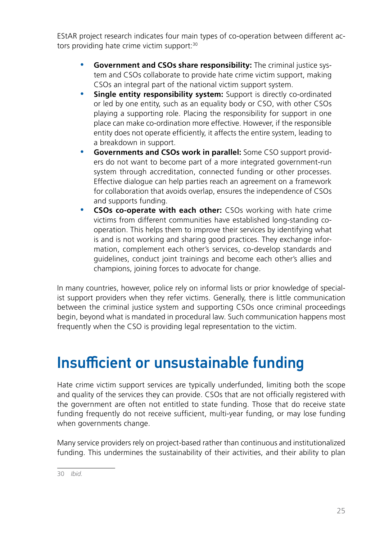<span id="page-24-0"></span>EStAR project research indicates four main types of co-operation between different actors providing hate crime victim support:<sup>30</sup>

- Government and CSOs share responsibility: The criminal justice system and CSOs collaborate to provide hate crime victim support, making CSOs an integral part of the national victim support system.
- **Single entity responsibility system:** Support is directly co-ordinated or led by one entity, such as an equality body or CSO, with other CSOs playing a supporting role. Placing the responsibility for support in one place can make co-ordination more effective. However, if the responsible entity does not operate efficiently, it affects the entire system, leading to a breakdown in support.
- **Governments and CSOs work in parallel:** Some CSO support providers do not want to become part of a more integrated government-run system through accreditation, connected funding or other processes. Effective dialogue can help parties reach an agreement on a framework for collaboration that avoids overlap, ensures the independence of CSOs and supports funding.
- **CSOs co-operate with each other:** CSOs working with hate crime victims from different communities have established long-standing cooperation. This helps them to improve their services by identifying what is and is not working and sharing good practices. They exchange information, complement each other's services, co-develop standards and guidelines, conduct joint trainings and become each other's allies and champions, joining forces to advocate for change.

In many countries, however, police rely on informal lists or prior knowledge of specialist support providers when they refer victims. Generally, there is little communication between the criminal justice system and supporting CSOs once criminal proceedings begin, beyond what is mandated in procedural law. Such communication happens most frequently when the CSO is providing legal representation to the victim.

# Insufficient or unsustainable funding

Hate crime victim support services are typically underfunded, limiting both the scope and quality of the services they can provide. CSOs that are not officially registered with the government are often not entitled to state funding. Those that do receive state funding frequently do not receive sufficient, multi-year funding, or may lose funding when governments change.

Many service providers rely on project-based rather than continuous and institutionalized funding. This undermines the sustainability of their activities, and their ability to plan

<sup>30</sup> *Ibid.*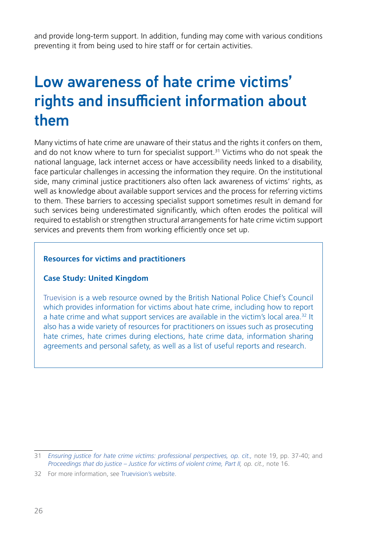<span id="page-25-0"></span>and provide long-term support. In addition, funding may come with various conditions preventing it from being used to hire staff or for certain activities.

# Low awareness of hate crime victims' rights and insufficient information about them

Many victims of hate crime are unaware of their status and the rights it confers on them, and do not know where to turn for specialist support.<sup>31</sup> Victims who do not speak the national language, lack internet access or have accessibility needs linked to a disability, face particular challenges in accessing the information they require. On the institutional side, many criminal justice practitioners also often lack awareness of victims' rights, as well as knowledge about available support services and the process for referring victims to them. These barriers to accessing specialist support sometimes result in demand for such services being underestimated significantly, which often erodes the political will required to establish or strengthen structural arrangements for hate crime victim support services and prevents them from working efficiently once set up.

#### **Resources for victims and practitioners**

#### **Case Study: United Kingdom**

[Truevision](http://www.report-it.org.uk/) is a web resource owned by the British National Police Chief's Council which provides information for victims about hate crime, including how to report a hate crime and what support services are available in the victim's local area.32 It also has a wide variety of resources for practitioners on issues such as prosecuting hate crimes, hate crimes during elections, hate crime data, information sharing agreements and personal safety, as well as a list of useful reports and research.

<sup>31</sup> *[Ensuring justice for hate crime victims: professional perspectives,](https://fra.europa.eu/en/publication/2016/ensuring-justice-hate-crime-victims-professional-perspectives) op. cit.,* note 19, pp. 37-40; and *[Proceedings that do justice – Justice for victims of violent crime, Part II,](https://fra.europa.eu/en/publication/2019/proceedings-do-justice-justice-victims-violent-crime-part-ii) op. cit.,* note 16.

<sup>32</sup> For more information, see [Truevision's website](https://www.report-it.org.uk/).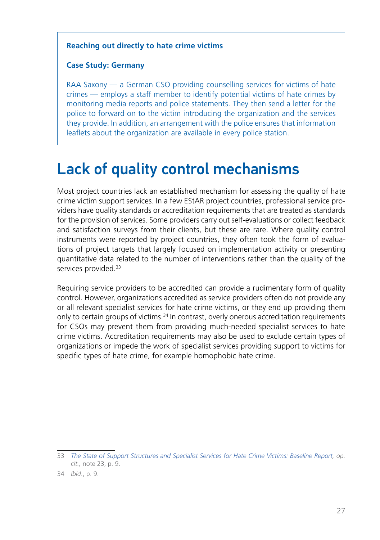#### <span id="page-26-0"></span>**Reaching out directly to hate crime victims**

#### **Case Study: Germany**

RAA Saxony — a German CSO providing counselling services for victims of hate crimes — employs a staff member to identify potential victims of hate crimes by monitoring media reports and police statements. They then send a letter for the police to forward on to the victim introducing the organization and the services they provide. In addition, an arrangement with the police ensures that information leaflets about the organization are available in every police station.

## Lack of quality control mechanisms

Most project countries lack an established mechanism for assessing the quality of hate crime victim support services. In a few EStAR project countries, professional service providers have quality standards or accreditation requirements that are treated as standards for the provision of services. Some providers carry out self-evaluations or collect feedback and satisfaction surveys from their clients, but these are rare. Where quality control instruments were reported by project countries, they often took the form of evaluations of project targets that largely focused on implementation activity or presenting quantitative data related to the number of interventions rather than the quality of the services provided.<sup>33</sup>

Requiring service providers to be accredited can provide a rudimentary form of quality control. However, organizations accredited as service providers often do not provide any or all relevant specialist services for hate crime victims, or they end up providing them only to certain groups of victims.34 In contrast, overly onerous accreditation requirements for CSOs may prevent them from providing much-needed specialist services to hate crime victims. Accreditation requirements may also be used to exclude certain types of organizations or impede the work of specialist services providing support to victims for specific types of hate crime, for example homophobic hate crime.

<sup>33</sup> *[The State of Support Structures and Specialist Services for Hate Crime Victims: Baseline Report](https://www.osce.org/odihr/467916), op. cit.,* note 23, p. 9.

<sup>34</sup> *Ibid*., p. 9.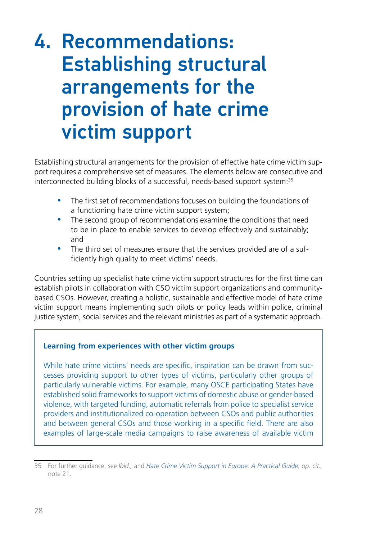# <span id="page-27-0"></span>4. Recommendations: Establishing structural arrangements for the provision of hate crime victim support

Establishing structural arrangements for the provision of effective hate crime victim support requires a comprehensive set of measures. The elements below are consecutive and interconnected building blocks of a successful, needs-based support system:35

- The first set of recommendations focuses on building the foundations of a functioning hate crime victim support system;
- The second group of recommendations examine the conditions that need to be in place to enable services to develop effectively and sustainably; and
- The third set of measures ensure that the services provided are of a sufficiently high quality to meet victims' needs.

Countries setting up specialist hate crime victim support structures for the first time can establish pilots in collaboration with CSO victim support organizations and communitybased CSOs. However, creating a holistic, sustainable and effective model of hate crime victim support means implementing such pilots or policy leads within police, criminal justice system, social services and the relevant ministries as part of a systematic approach.

#### **Learning from experiences with other victim groups**

While hate crime victims' needs are specific, inspiration can be drawn from successes providing support to other types of victims, particularly other groups of particularly vulnerable victims. For example, many OSCE participating States have established solid frameworks to support victims of domestic abuse or gender-based violence, with targeted funding, automatic referrals from police to specialist service providers and institutionalized co-operation between CSOs and public authorities and between general CSOs and those working in a specific field. There are also examples of large-scale media campaigns to raise awareness of available victim

<sup>35</sup> For further guidance, see *Ibid.,* and *[Hate Crime Victim Support in Europe: A Practical Guide](https://verband-brg.de/guidelines-hate-crime-victim-support-in-europe/), op. cit.,*  note 21.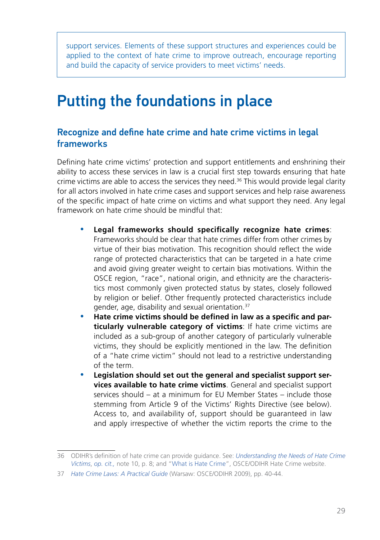<span id="page-28-0"></span>support services. Elements of these support structures and experiences could be applied to the context of hate crime to improve outreach, encourage reporting and build the capacity of service providers to meet victims' needs.

## Putting the foundations in place

### Recognize and define hate crime and hate crime victims in legal frameworks

Defining hate crime victims' protection and support entitlements and enshrining their ability to access these services in law is a crucial first step towards ensuring that hate crime victims are able to access the services they need.<sup>36</sup> This would provide legal clarity for all actors involved in hate crime cases and support services and help raise awareness of the specific impact of hate crime on victims and what support they need. Any legal framework on hate crime should be mindful that:

- Legal frameworks should specifically recognize hate crimes: Frameworks should be clear that hate crimes differ from other crimes by virtue of their bias motivation. This recognition should reflect the wide range of protected characteristics that can be targeted in a hate crime and avoid giving greater weight to certain bias motivations. Within the OSCE region, "race", national origin, and ethnicity are the characteristics most commonly given protected status by states, closely followed by religion or belief. Other frequently protected characteristics include gender, age, disability and sexual orientation.37
- y **Hate crime victims should be defined in law as a specific and particularly vulnerable category of victims**: If hate crime victims are included as a sub-group of another category of particularly vulnerable victims, they should be explicitly mentioned in the law. The definition of a "hate crime victim" should not lead to a restrictive understanding of the term.
- Legislation should set out the general and specialist support ser**vices available to hate crime victims**. General and specialist support services should – at a minimum for EU Member States – include those stemming from Article 9 of the Victims' Rights Directive (see below). Access to, and availability of, support should be guaranteed in law and apply irrespective of whether the victim reports the crime to the

<sup>36</sup> ODIHR's definition of hate crime can provide guidance. See: *[Understanding the Needs of Hate Crime](https://www.osce.org/odihr/463011) [Victims](https://www.osce.org/odihr/463011)*, *op. cit.,* note 10, p. 8; and ["What is Hate Crime"](https://hatecrime.osce.org/), OSCE/ODIHR Hate Crime website.

<sup>37</sup> *[Hate Crime Laws: A Practical Guide](https://www.osce.org/files/f/documents/3/e/36426.pdf)* (Warsaw: OSCE/ODIHR 2009), pp. 40-44.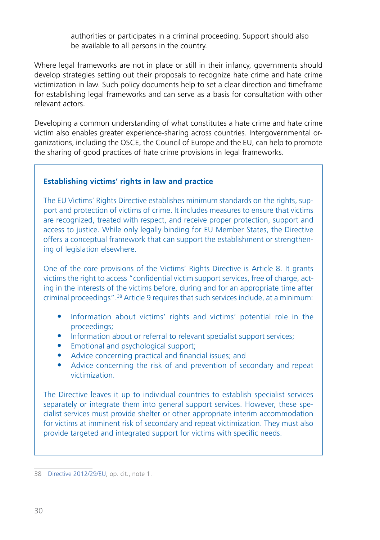authorities or participates in a criminal proceeding. Support should also be available to all persons in the country.

Where legal frameworks are not in place or still in their infancy, governments should develop strategies setting out their proposals to recognize hate crime and hate crime victimization in law. Such policy documents help to set a clear direction and timeframe for establishing legal frameworks and can serve as a basis for consultation with other relevant actors.

Developing a common understanding of what constitutes a hate crime and hate crime victim also enables greater experience-sharing across countries. Intergovernmental organizations, including the OSCE, the Council of Europe and the EU, can help to promote the sharing of good practices of hate crime provisions in legal frameworks.

#### **Establishing victims' rights in law and practice**

The EU Victims' Rights Directive establishes minimum standards on the rights, support and protection of victims of crime. It includes measures to ensure that victims are recognized, treated with respect, and receive proper protection, support and access to justice. While only legally binding for EU Member States, the Directive offers a conceptual framework that can support the establishment or strengthening of legislation elsewhere.

One of the core provisions of the Victims' Rights Directive is Article 8. It grants victims the right to access "confidential victim support services, free of charge, acting in the interests of the victims before, during and for an appropriate time after criminal proceedings".38 Article 9 requires that such services include, at a minimum:

- Information about victims' rights and victims' potential role in the proceedings;
- Information about or referral to relevant specialist support services;
- Emotional and psychological support;
- Advice concerning practical and financial issues; and
- Advice concerning the risk of and prevention of secondary and repeat victimization.

The Directive leaves it up to individual countries to establish specialist services separately or integrate them into general support services. However, these specialist services must provide shelter or other appropriate interim accommodation for victims at imminent risk of secondary and repeat victimization. They must also provide targeted and integrated support for victims with specific needs.

<sup>38</sup> [Directive 2012/29/EU](https://eur-lex.europa.eu/legal-content/EN/TXT/?qid=1421925131614&uri=CELEX:32012L0029), op. cit., note 1.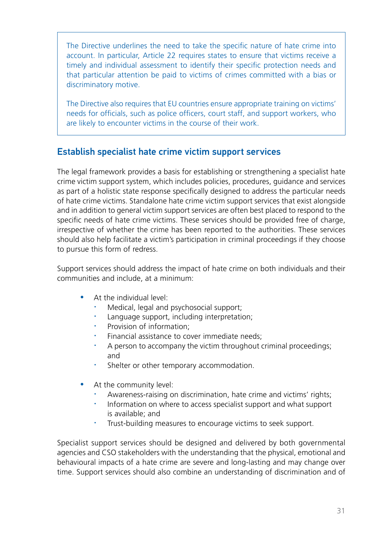<span id="page-30-0"></span>The Directive underlines the need to take the specific nature of hate crime into account. In particular, Article 22 requires states to ensure that victims receive a timely and individual assessment to identify their specific protection needs and that particular attention be paid to victims of crimes committed with a bias or discriminatory motive.

The Directive also requires that EU countries ensure appropriate training on victims' needs for officials, such as police officers, court staff, and support workers, who are likely to encounter victims in the course of their work.

### Establish specialist hate crime victim support services

The legal framework provides a basis for establishing or strengthening a specialist hate crime victim support system, which includes policies, procedures, guidance and services as part of a holistic state response specifically designed to address the particular needs of hate crime victims. Standalone hate crime victim support services that exist alongside and in addition to general victim support services are often best placed to respond to the specific needs of hate crime victims. These services should be provided free of charge, irrespective of whether the crime has been reported to the authorities. These services should also help facilitate a victim's participation in criminal proceedings if they choose to pursue this form of redress.

Support services should address the impact of hate crime on both individuals and their communities and include, at a minimum:

- At the individual level:
	- Medical, legal and psychosocial support;
	- Language support, including interpretation;
	- Provision of information:
	- Financial assistance to cover immediate needs:
	- A person to accompany the victim throughout criminal proceedings; and
	- Shelter or other temporary accommodation.
- At the community level:
	- Awareness-raising on discrimination, hate crime and victims' rights;
	- Information on where to access specialist support and what support is available; and
	- Trust-building measures to encourage victims to seek support.

Specialist support services should be designed and delivered by both governmental agencies and CSO stakeholders with the understanding that the physical, emotional and behavioural impacts of a hate crime are severe and long-lasting and may change over time. Support services should also combine an understanding of discrimination and of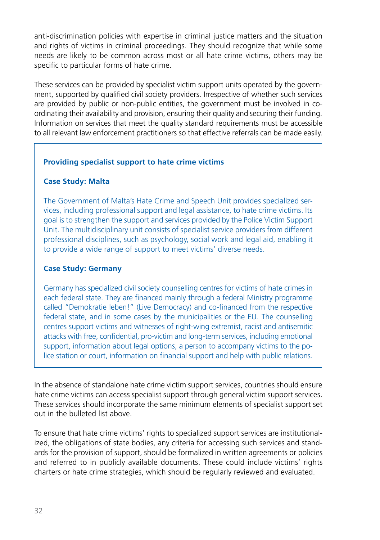anti-discrimination policies with expertise in criminal justice matters and the situation and rights of victims in criminal proceedings. They should recognize that while some needs are likely to be common across most or all hate crime victims, others may be specific to particular forms of hate crime.

These services can be provided by specialist victim support units operated by the government, supported by qualified civil society providers. Irrespective of whether such services are provided by public or non-public entities, the government must be involved in coordinating their availability and provision, ensuring their quality and securing their funding. Information on services that meet the quality standard requirements must be accessible to all relevant law enforcement practitioners so that effective referrals can be made easily.

#### **Providing specialist support to hate crime victims**

#### **Case Study: Malta**

The Government of Malta's Hate Crime and Speech Unit provides specialized services, including professional support and legal assistance, to hate crime victims. Its goal is to strengthen the support and services provided by the Police Victim Support Unit. The multidisciplinary unit consists of specialist service providers from different professional disciplines, such as psychology, social work and legal aid, enabling it to provide a wide range of support to meet victims' diverse needs.

#### **Case Study: Germany**

Germany has specialized civil society counselling centres for victims of hate crimes in each federal state. They are financed mainly through a federal Ministry programme called "Demokratie leben!" (Live Democracy) and co-financed from the respective federal state, and in some cases by the municipalities or the EU. The counselling centres support victims and witnesses of right-wing extremist, racist and antisemitic attacks with free, confidential, pro-victim and long-term services, including emotional support, information about legal options, a person to accompany victims to the police station or court, information on financial support and help with public relations.

In the absence of standalone hate crime victim support services, countries should ensure hate crime victims can access specialist support through general victim support services. These services should incorporate the same minimum elements of specialist support set out in the bulleted list above.

To ensure that hate crime victims' rights to specialized support services are institutionalized, the obligations of state bodies, any criteria for accessing such services and standards for the provision of support, should be formalized in written agreements or policies and referred to in publicly available documents. These could include victims' rights charters or hate crime strategies, which should be regularly reviewed and evaluated.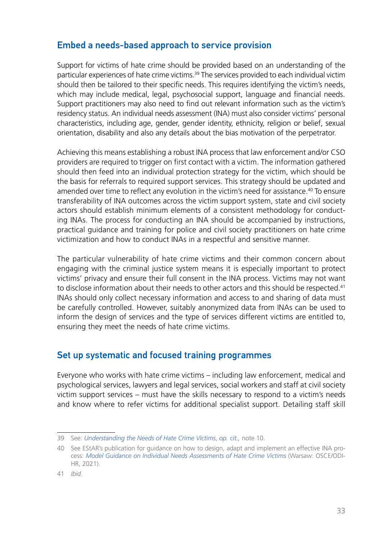### <span id="page-32-0"></span>Embed a needs-based approach to service provision

Support for victims of hate crime should be provided based on an understanding of the particular experiences of hate crime victims.39 The services provided to each individual victim should then be tailored to their specific needs. This requires identifying the victim's needs, which may include medical, legal, psychosocial support, language and financial needs. Support practitioners may also need to find out relevant information such as the victim's residency status. An individual needs assessment (INA) must also consider victims' personal characteristics, including age, gender, gender identity, ethnicity, religion or belief, sexual orientation, disability and also any details about the bias motivation of the perpetrator.

Achieving this means establishing a robust INA process that law enforcement and/or CSO providers are required to trigger on first contact with a victim. The information gathered should then feed into an individual protection strategy for the victim, which should be the basis for referrals to required support services. This strategy should be updated and amended over time to reflect any evolution in the victim's need for assistance.40 To ensure transferability of INA outcomes across the victim support system, state and civil society actors should establish minimum elements of a consistent methodology for conducting INAs. The process for conducting an INA should be accompanied by instructions, practical guidance and training for police and civil society practitioners on hate crime victimization and how to conduct INAs in a respectful and sensitive manner.

The particular vulnerability of hate crime victims and their common concern about engaging with the criminal justice system means it is especially important to protect victims' privacy and ensure their full consent in the INA process. Victims may not want to disclose information about their needs to other actors and this should be respected.<sup>41</sup> INAs should only collect necessary information and access to and sharing of data must be carefully controlled. However, suitably anonymized data from INAs can be used to inform the design of services and the type of services different victims are entitled to, ensuring they meet the needs of hate crime victims.

### Set up systematic and focused training programmes

Everyone who works with hate crime victims – including law enforcement, medical and psychological services, lawyers and legal services, social workers and staff at civil society victim support services – must have the skills necessary to respond to a victim's needs and know where to refer victims for additional specialist support. Detailing staff skill

<sup>39</sup> See: *[Understanding the Needs of Hate Crime Victims](https://www.osce.org/odihr/463011)*, *op. cit.,* note 10.

<sup>40</sup> See EStAR's publication for guidance on how to design, adapt and implement an effective INA process: *[Model Guidance on Individual Needs Assessments of Hate Crime Victims](https://www.osce.org/files/f/documents/5/9/489782_0.pdf)* (Warsaw: OSCE/ODI-HR, 2021).

<sup>41</sup> *Ibid.*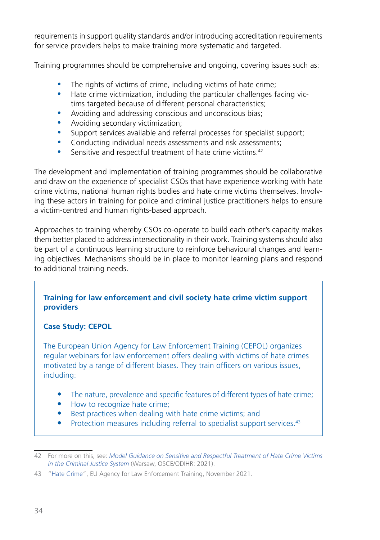requirements in support quality standards and/or introducing accreditation requirements for service providers helps to make training more systematic and targeted.

Training programmes should be comprehensive and ongoing, covering issues such as:

- The rights of victims of crime, including victims of hate crime;
- Hate crime victimization, including the particular challenges facing victims targeted because of different personal characteristics;
- Avoiding and addressing conscious and unconscious bias;
- Avoiding secondary victimization;
- Support services available and referral processes for specialist support;
- Conducting individual needs assessments and risk assessments;
- Sensitive and respectful treatment of hate crime victims.<sup>42</sup>

The development and implementation of training programmes should be collaborative and draw on the experience of specialist CSOs that have experience working with hate crime victims, national human rights bodies and hate crime victims themselves. Involving these actors in training for police and criminal justice practitioners helps to ensure a victim-centred and human rights-based approach.

Approaches to training whereby CSOs co-operate to build each other's capacity makes them better placed to address intersectionality in their work. Training systems should also be part of a continuous learning structure to reinforce behavioural changes and learning objectives. Mechanisms should be in place to monitor learning plans and respond to additional training needs.

#### **Training for law enforcement and civil society hate crime victim support providers**

#### **Case Study: CEPOL**

The European Union Agency for Law Enforcement Training (CEPOL) organizes regular webinars for law enforcement offers dealing with victims of hate crimes motivated by a range of different biases. They train officers on various issues, including:

- The nature, prevalence and specific features of different types of hate crime;
- How to recognize hate crime;
- Best practices when dealing with hate crime victims; and
- Protection measures including referral to specialist support services.<sup>43</sup>

<sup>42</sup> For more on this, see: *[Model Guidance on Sensitive and Respectful Treatment of Hate Crime Victims](https://www.osce.org/odihr/499513)  [in the Criminal Justice System](https://www.osce.org/odihr/499513)* (Warsaw, OSCE/ODIHR: 2021).

<sup>43</sup> "[Hate Crime"](http://www.cepol.europa.eu/tags/hate-crime), EU Agency for Law Enforcement Training, November 2021.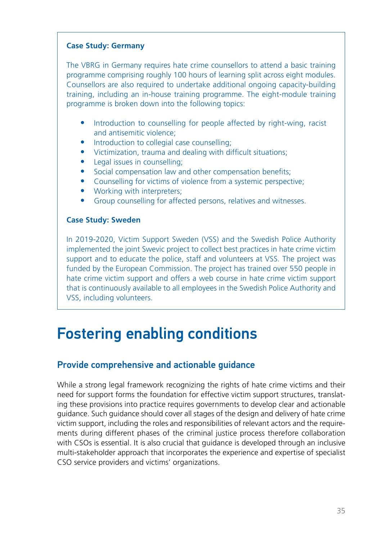#### <span id="page-34-0"></span>**Case Study: Germany**

The VBRG in Germany requires hate crime counsellors to attend a basic training programme comprising roughly 100 hours of learning split across eight modules. Counsellors are also required to undertake additional ongoing capacity-building training, including an in-house training programme. The eight-module training programme is broken down into the following topics:

- Introduction to counselling for people affected by right-wing, racist and antisemitic violence;
- Introduction to collegial case counselling;
- Victimization, trauma and dealing with difficult situations;
- Legal issues in counselling:
- Social compensation law and other compensation benefits;
- Counselling for victims of violence from a systemic perspective;
- Working with interpreters;
- Group counselling for affected persons, relatives and witnesses.

#### **Case Study: Sweden**

In 2019-2020, Victim Support Sweden (VSS) and the Swedish Police Authority implemented the joint Swevic project to collect best practices in hate crime victim support and to educate the police, staff and volunteers at VSS. The project was funded by the European Commission. The project has trained over 550 people in hate crime victim support and offers a web course in hate crime victim support that is continuously available to all employees in the Swedish Police Authority and VSS, including volunteers.

### Fostering enabling conditions

### Provide comprehensive and actionable guidance

While a strong legal framework recognizing the rights of hate crime victims and their need for support forms the foundation for effective victim support structures, translating these provisions into practice requires governments to develop clear and actionable guidance. Such guidance should cover all stages of the design and delivery of hate crime victim support, including the roles and responsibilities of relevant actors and the requirements during different phases of the criminal justice process therefore collaboration with CSOs is essential. It is also crucial that guidance is developed through an inclusive multi-stakeholder approach that incorporates the experience and expertise of specialist CSO service providers and victims' organizations.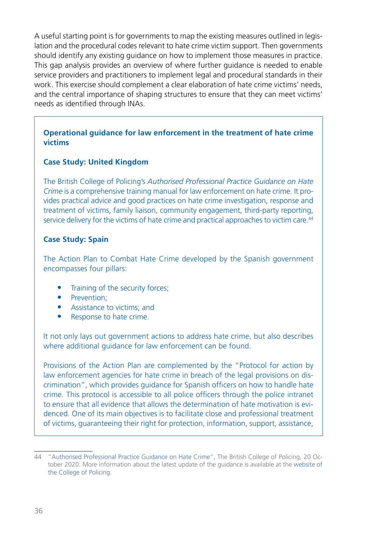A useful starting point is for governments to map the existing measures outlined in legislation and the procedural codes relevant to hate crime victim support. Then governments should identify any existing guidance on how to implement those measures in practice. This gap analysis provides an overview of where further guidance is needed to enable service providers and practitioners to implement legal and procedural standards in their work. This exercise should complement a clear elaboration of hate crime victims' needs, and the central importance of shaping structures to ensure that they can meet victims' needs as identified through INAs.

#### **Operational guidance for law enforcement in the treatment of hate crime victims**

#### **Case Study: United Kingdom**

The British College of Policing's *Authorised Professional Practice Guidance on Hate Crime* is a comprehensive training manual for law enforcement on hate crime. It provides practical advice and good practices on hate crime investigation, response and treatment of victims, family liaison, community engagement, third-party reporting, service delivery for the victims of hate crime and practical approaches to victim care.<sup>44</sup>

#### **Case Study: Spain**

The Action Plan to Combat Hate Crime developed by the Spanish government encompasses four pillars:

- Training of the security forces;
- Prevention:
- Assistance to victims: and
- Response to hate crime.

It not only lays out government actions to address hate crime, but also describes where additional guidance for law enforcement can be found.

Provisions of the Action Plan are complemented by the "Protocol for action by law enforcement agencies for hate crime in breach of the legal provisions on discrimination", which provides guidance for Spanish officers on how to handle hate crime. This protocol is accessible to all police officers through the police intranet to ensure that all evidence that allows the determination of hate motivation is evidenced. One of its main objectives is to facilitate close and professional treatment of victims, guaranteeing their right for protection, information, support, assistance,

<sup>44</sup> "Authorised Professional Practice Guidance on Hate Crime", The British College of Policing, 20 October 2020. More information about the latest update of the guidance is available at the [website of](https://www.college.police.uk/article/new-national-hate-crime-guidance-published)  [the College of Policing](https://www.college.police.uk/article/new-national-hate-crime-guidance-published).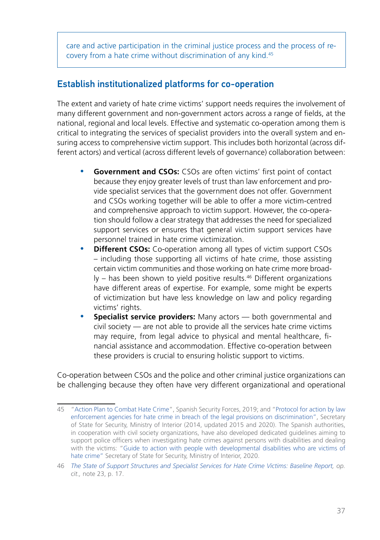<span id="page-36-0"></span>care and active participation in the criminal justice process and the process of recovery from a hate crime without discrimination of any kind.45

### Establish institutionalized platforms for co-operation

The extent and variety of hate crime victims' support needs requires the involvement of many different government and non-government actors across a range of fields, at the national, regional and local levels. Effective and systematic co-operation among them is critical to integrating the services of specialist providers into the overall system and ensuring access to comprehensive victim support. This includes both horizontal (across different actors) and vertical (across different levels of governance) collaboration between:

- **Government and CSOs:** CSOs are often victims' first point of contact because they enjoy greater levels of trust than law enforcement and provide specialist services that the government does not offer. Government and CSOs working together will be able to offer a more victim-centred and comprehensive approach to victim support. However, the co-operation should follow a clear strategy that addresses the need for specialized support services or ensures that general victim support services have personnel trained in hate crime victimization.
- **Different CSOs:** Co-operation among all types of victim support CSOs – including those supporting all victims of hate crime, those assisting certain victim communities and those working on hate crime more broad- $Iy$  – has been shown to yield positive results.<sup>46</sup> Different organizations have different areas of expertise. For example, some might be experts of victimization but have less knowledge on law and policy regarding victims' rights.
- **Specialist service providers:** Many actors both governmental and civil society — are not able to provide all the services hate crime victims may require, from legal advice to physical and mental healthcare, financial assistance and accommodation. Effective co-operation between these providers is crucial to ensuring holistic support to victims.

Co-operation between CSOs and the police and other criminal justice organizations can be challenging because they often have very different organizational and operational

<sup>45</sup> ["Action Plan to Combat Hate Crime"](http://www.interior.gob.es/documents/10180/13073/ACTION_PLAN_TO_COMBAT_HATE_CRIMES/1df7e295-133c-4afb-a6a1-7301fb54845e), Spanish Security Forces, 2019; and "[Protocol for action by law](http://www.interior.gob.es/documents/642012/3479677/PROTOCOLO+DE+ACTUACION+DE+LAS+FUERZAS+Y+CUERPOS+DE+SEGURIDAD+PARA+LOS+DELITOS+DE+ODIO+Y+CONDUCTAS+QUE+VULNERAN+LAS+NORMAS+LEGALES+SOBRE+DISCRIMINACION+%28english+version%29/7c5e693b-cfd2-4cb3-bc47-6c0550641891) [enforcement agencies for hate crime in breach of the legal provisions on discrimination"](http://www.interior.gob.es/documents/642012/3479677/PROTOCOLO+DE+ACTUACION+DE+LAS+FUERZAS+Y+CUERPOS+DE+SEGURIDAD+PARA+LOS+DELITOS+DE+ODIO+Y+CONDUCTAS+QUE+VULNERAN+LAS+NORMAS+LEGALES+SOBRE+DISCRIMINACION+%28english+version%29/7c5e693b-cfd2-4cb3-bc47-6c0550641891), Secretary of State for Security, Ministry of Interior (2014, updated 2015 and 2020). The Spanish authorities, in cooperation with civil society organizations, have also developed dedicated guidelines aiming to support police officers when investigating hate crimes against persons with disabilities and dealing with the victims: "[Guide to action with people with developmental disabilities who are victims of](http://www.interior.gob.es/documents/642012/0/Gu%C3%ADa+de+actuaci%C3%B3n+con+v%C3%ADctimas+de+delitos+de+odio+con+discapacidad+del+desarrollo.pdf/c6413d6c-71fb-464b-b456-18e35c022099) [hate crime"](http://www.interior.gob.es/documents/642012/0/Gu%C3%ADa+de+actuaci%C3%B3n+con+v%C3%ADctimas+de+delitos+de+odio+con+discapacidad+del+desarrollo.pdf/c6413d6c-71fb-464b-b456-18e35c022099) Secretary of State for Security, Ministry of Interior, 2020.

<sup>46</sup> *[The State of Support Structures and Specialist Services for Hate Crime Victims: Baseline Report](https://www.osce.org/odihr/467916), op. cit.,* note 23, p. 17.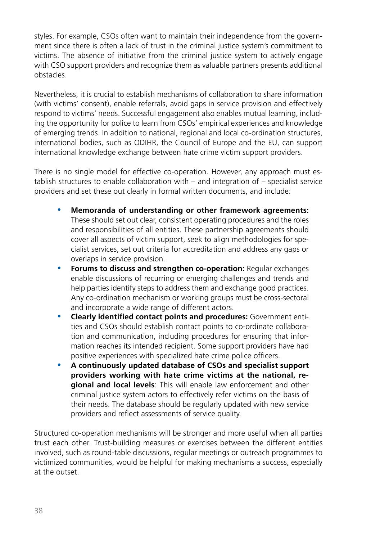styles. For example, CSOs often want to maintain their independence from the government since there is often a lack of trust in the criminal justice system's commitment to victims. The absence of initiative from the criminal justice system to actively engage with CSO support providers and recognize them as valuable partners presents additional obstacles.

Nevertheless, it is crucial to establish mechanisms of collaboration to share information (with victims' consent), enable referrals, avoid gaps in service provision and effectively respond to victims' needs. Successful engagement also enables mutual learning, including the opportunity for police to learn from CSOs' empirical experiences and knowledge of emerging trends. In addition to national, regional and local co-ordination structures, international bodies, such as ODIHR, the Council of Europe and the EU, can support international knowledge exchange between hate crime victim support providers.

There is no single model for effective co-operation. However, any approach must establish structures to enable collaboration with – and integration of – specialist service providers and set these out clearly in formal written documents, and include:

- y **Memoranda of understanding or other framework agreements:**  These should set out clear, consistent operating procedures and the roles and responsibilities of all entities. These partnership agreements should cover all aspects of victim support, seek to align methodologies for specialist services, set out criteria for accreditation and address any gaps or overlaps in service provision.
- **Forums to discuss and strengthen co-operation: Regular exchanges** enable discussions of recurring or emerging challenges and trends and help parties identify steps to address them and exchange good practices. Any co-ordination mechanism or working groups must be cross-sectoral and incorporate a wide range of different actors.
- **Clearly identified contact points and procedures: Government enti**ties and CSOs should establish contact points to co-ordinate collaboration and communication, including procedures for ensuring that information reaches its intended recipient. Some support providers have had positive experiences with specialized hate crime police officers.
- y **A continuously updated database of CSOs and specialist support providers working with hate crime victims at the national, regional and local levels**: This will enable law enforcement and other criminal justice system actors to effectively refer victims on the basis of their needs. The database should be regularly updated with new service providers and reflect assessments of service quality.

Structured co-operation mechanisms will be stronger and more useful when all parties trust each other. Trust-building measures or exercises between the different entities involved, such as round-table discussions, regular meetings or outreach programmes to victimized communities, would be helpful for making mechanisms a success, especially at the outset.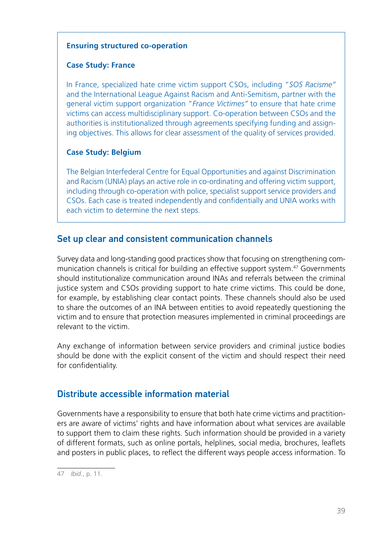#### <span id="page-38-0"></span>**Ensuring structured co-operation**

#### **Case Study: France**

In France, specialized hate crime victim support CSOs, including "*SOS Racisme"* and the International League Against Racism and Anti-Semitism, partner with the general victim support organization "*France Victimes"* to ensure that hate crime victims can access multidisciplinary support. Co-operation between CSOs and the authorities is institutionalized through agreements specifying funding and assigning objectives. This allows for clear assessment of the quality of services provided.

#### **Case Study: Belgium**

The Belgian Interfederal Centre for Equal Opportunities and against Discrimination and Racism (UNIA) plays an active role in co-ordinating and offering victim support, including through co-operation with police, specialist support service providers and CSOs. Each case is treated independently and confidentially and UNIA works with each victim to determine the next steps.

### Set up clear and consistent communication channels

Survey data and long-standing good practices show that focusing on strengthening communication channels is critical for building an effective support system.47 Governments should institutionalize communication around INAs and referrals between the criminal justice system and CSOs providing support to hate crime victims. This could be done, for example, by establishing clear contact points. These channels should also be used to share the outcomes of an INA between entities to avoid repeatedly questioning the victim and to ensure that protection measures implemented in criminal proceedings are relevant to the victim.

Any exchange of information between service providers and criminal justice bodies should be done with the explicit consent of the victim and should respect their need for confidentiality.

### Distribute accessible information material

Governments have a responsibility to ensure that both hate crime victims and practitioners are aware of victims' rights and have information about what services are available to support them to claim these rights. Such information should be provided in a variety of different formats, such as online portals, helplines, social media, brochures, leaflets and posters in public places, to reflect the different ways people access information. To

<sup>47</sup> *Ibid*., p. 11.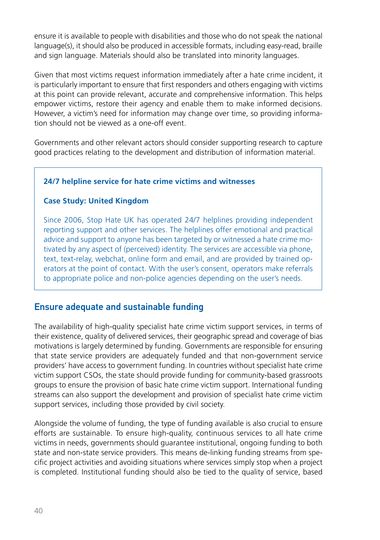<span id="page-39-0"></span>ensure it is available to people with disabilities and those who do not speak the national language(s), it should also be produced in accessible formats, including easy-read, braille and sign language. Materials should also be translated into minority languages.

Given that most victims request information immediately after a hate crime incident, it is particularly important to ensure that first responders and others engaging with victims at this point can provide relevant, accurate and comprehensive information. This helps empower victims, restore their agency and enable them to make informed decisions. However, a victim's need for information may change over time, so providing information should not be viewed as a one-off event.

Governments and other relevant actors should consider supporting research to capture good practices relating to the development and distribution of information material.

#### **24/7 helpline service for hate crime victims and witnesses**

#### **Case Study: United Kingdom**

Since 2006, Stop Hate UK has operated 24/7 helplines providing independent reporting support and other services. The helplines offer emotional and practical advice and support to anyone has been targeted by or witnessed a hate crime motivated by any aspect of (perceived) identity. The services are accessible via phone, text, text-relay, webchat, online form and email, and are provided by trained operators at the point of contact. With the user's consent, operators make referrals to appropriate police and non-police agencies depending on the user's needs.

### Ensure adequate and sustainable funding

The availability of high-quality specialist hate crime victim support services, in terms of their existence, quality of delivered services, their geographic spread and coverage of bias motivations is largely determined by funding. Governments are responsible for ensuring that state service providers are adequately funded and that non-government service providers' have access to government funding. In countries without specialist hate crime victim support CSOs, the state should provide funding for community-based grassroots groups to ensure the provision of basic hate crime victim support. International funding streams can also support the development and provision of specialist hate crime victim support services, including those provided by civil society.

Alongside the volume of funding, the type of funding available is also crucial to ensure efforts are sustainable. To ensure high-quality, continuous services to all hate crime victims in needs, governments should guarantee institutional, ongoing funding to both state and non-state service providers. This means de-linking funding streams from specific project activities and avoiding situations where services simply stop when a project is completed. Institutional funding should also be tied to the quality of service, based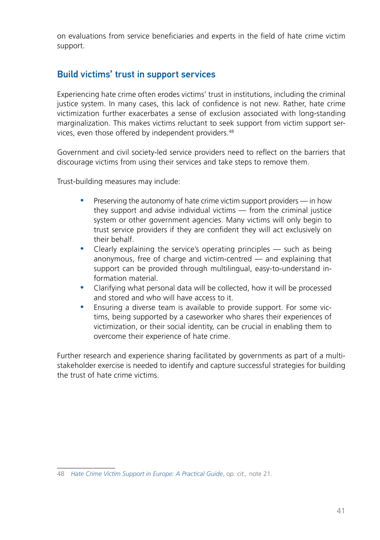<span id="page-40-0"></span>on evaluations from service beneficiaries and experts in the field of hate crime victim support.

### Build victims' trust in support services

Experiencing hate crime often erodes victims' trust in institutions, including the criminal justice system. In many cases, this lack of confidence is not new. Rather, hate crime victimization further exacerbates a sense of exclusion associated with long-standing marginalization. This makes victims reluctant to seek support from victim support services, even those offered by independent providers.48

Government and civil society-led service providers need to reflect on the barriers that discourage victims from using their services and take steps to remove them.

Trust-building measures may include:

- Preserving the autonomy of hate crime victim support providers in how they support and advise individual victims — from the criminal justice system or other government agencies. Many victims will only begin to trust service providers if they are confident they will act exclusively on their behalf.
- Clearly explaining the service's operating principles  $-$  such as being anonymous, free of charge and victim-centred — and explaining that support can be provided through multilingual, easy-to-understand information material.
- Clarifying what personal data will be collected, how it will be processed and stored and who will have access to it.
- Ensuring a diverse team is available to provide support. For some victims, being supported by a caseworker who shares their experiences of victimization, or their social identity, can be crucial in enabling them to overcome their experience of hate crime.

Further research and experience sharing facilitated by governments as part of a multistakeholder exercise is needed to identify and capture successful strategies for building the trust of hate crime victims.

<sup>48</sup> *[Hate Crime Victim Support in Europe: A Practical Guide](https://verband-brg.de/guidelines-hate-crime-victim-support-in-europe/)*, *op. cit.,* note 21.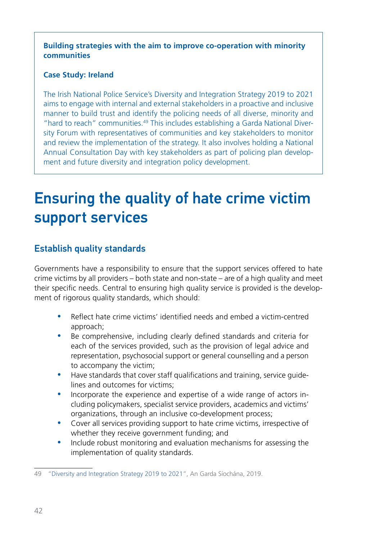<span id="page-41-0"></span>**Building strategies with the aim to improve co-operation with minority communities**

#### **Case Study: Ireland**

The Irish National Police Service's Diversity and Integration Strategy 2019 to 2021 aims to engage with internal and external stakeholders in a proactive and inclusive manner to build trust and identify the policing needs of all diverse, minority and "hard to reach" communities.49 This includes establishing a Garda National Diversity Forum with representatives of communities and key stakeholders to monitor and review the implementation of the strategy. It also involves holding a National Annual Consultation Day with key stakeholders as part of policing plan development and future diversity and integration policy development.

## Ensuring the quality of hate crime victim support services

### Establish quality standards

Governments have a responsibility to ensure that the support services offered to hate crime victims by all providers – both state and non-state – are of a high quality and meet their specific needs. Central to ensuring high quality service is provided is the development of rigorous quality standards, which should:

- y Reflect hate crime victims' identified needs and embed a victim-centred approach;
- Be comprehensive, including clearly defined standards and criteria for each of the services provided, such as the provision of legal advice and representation, psychosocial support or general counselling and a person to accompany the victim;
- Have standards that cover staff qualifications and training, service quidelines and outcomes for victims;
- Incorporate the experience and expertise of a wide range of actors including policymakers, specialist service providers, academics and victims' organizations, through an inclusive co-development process;
- Cover all services providing support to hate crime victims, irrespective of whether they receive government funding; and
- Include robust monitoring and evaluation mechanisms for assessing the implementation of quality standards.

<sup>49</sup> "[Diversity and Integration Strategy 2019 to 2021"](https://www.garda.ie/en/crime-prevention/community-engagement/community-engagement-offices/garda-national-diversity-integration-unit/diversity-and-integration-strategy-2019-2021-english-v1-1.pdf), An Garda Síochána, 2019.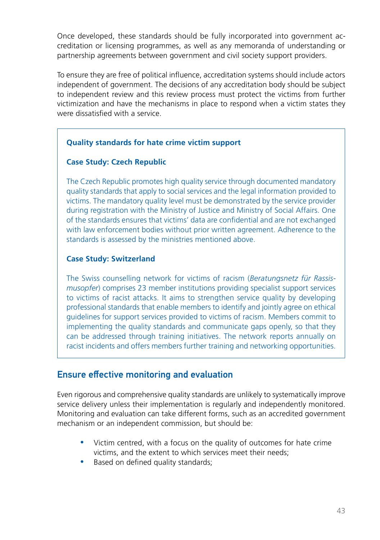<span id="page-42-0"></span>Once developed, these standards should be fully incorporated into government accreditation or licensing programmes, as well as any memoranda of understanding or partnership agreements between government and civil society support providers.

To ensure they are free of political influence, accreditation systems should include actors independent of government. The decisions of any accreditation body should be subject to independent review and this review process must protect the victims from further victimization and have the mechanisms in place to respond when a victim states they were dissatisfied with a service.

#### **Quality standards for hate crime victim support**

#### **Case Study: Czech Republic**

The Czech Republic promotes high quality service through documented mandatory quality standards that apply to social services and the legal information provided to victims. The mandatory quality level must be demonstrated by the service provider during registration with the Ministry of Justice and Ministry of Social Affairs. One of the standards ensures that victims' data are confidential and are not exchanged with law enforcement bodies without prior written agreement. Adherence to the standards is assessed by the ministries mentioned above.

#### **Case Study: Switzerland**

The Swiss counselling network for victims of racism (*Beratungsnetz für Rassismusopfer*) comprises 23 member institutions providing specialist support services to victims of racist attacks. It aims to strengthen service quality by developing professional standards that enable members to identify and jointly agree on ethical guidelines for support services provided to victims of racism. Members commit to implementing the quality standards and communicate gaps openly, so that they can be addressed through training initiatives. The network reports annually on racist incidents and offers members further training and networking opportunities.

### Ensure effective monitoring and evaluation

Even rigorous and comprehensive quality standards are unlikely to systematically improve service delivery unless their implementation is regularly and independently monitored. Monitoring and evaluation can take different forms, such as an accredited government mechanism or an independent commission, but should be:

- y Victim centred, with a focus on the quality of outcomes for hate crime victims, and the extent to which services meet their needs;
- Based on defined quality standards;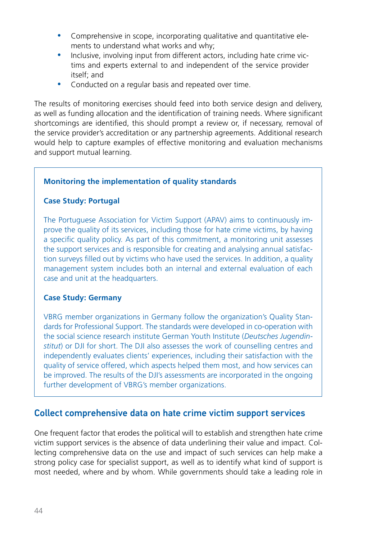- <span id="page-43-0"></span>• Comprehensive in scope, incorporating qualitative and quantitative elements to understand what works and why;
- Inclusive, involving input from different actors, including hate crime victims and experts external to and independent of the service provider itself; and
- Conducted on a regular basis and repeated over time.

The results of monitoring exercises should feed into both service design and delivery, as well as funding allocation and the identification of training needs. Where significant shortcomings are identified, this should prompt a review or, if necessary, removal of the service provider's accreditation or any partnership agreements. Additional research would help to capture examples of effective monitoring and evaluation mechanisms and support mutual learning.

#### **Monitoring the implementation of quality standards**

#### **Case Study: Portugal**

The Portuguese Association for Victim Support (APAV) aims to continuously improve the quality of its services, including those for hate crime victims, by having a specific quality policy. As part of this commitment, a monitoring unit assesses the support services and is responsible for creating and analysing annual satisfaction surveys filled out by victims who have used the services. In addition, a quality management system includes both an internal and external evaluation of each case and unit at the headquarters.

#### **Case Study: Germany**

VBRG member organizations in Germany follow the organization's Quality Standards for Professional Support. The standards were developed in co-operation with the social science research institute German Youth Institute (*Deutsches Jugendinstitut*) or DJI for short. The DJI also assesses the work of counselling centres and independently evaluates clients' experiences, including their satisfaction with the quality of service offered, which aspects helped them most, and how services can be improved. The results of the DJI's assessments are incorporated in the ongoing further development of VBRG's member organizations.

### Collect comprehensive data on hate crime victim support services

One frequent factor that erodes the political will to establish and strengthen hate crime victim support services is the absence of data underlining their value and impact. Collecting comprehensive data on the use and impact of such services can help make a strong policy case for specialist support, as well as to identify what kind of support is most needed, where and by whom. While governments should take a leading role in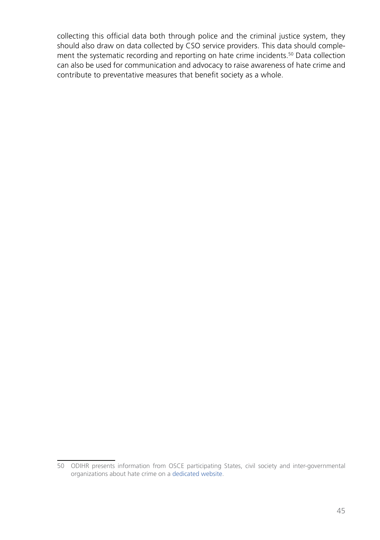collecting this official data both through police and the criminal justice system, they should also draw on data collected by CSO service providers. This data should complement the systematic recording and reporting on hate crime incidents.50 Data collection can also be used for communication and advocacy to raise awareness of hate crime and contribute to preventative measures that benefit society as a whole.

<sup>50</sup> ODIHR presents information from OSCE participating States, civil society and inter-governmental organizations about hate crime on a [dedicated website](https://hatecrime.osce.org/).